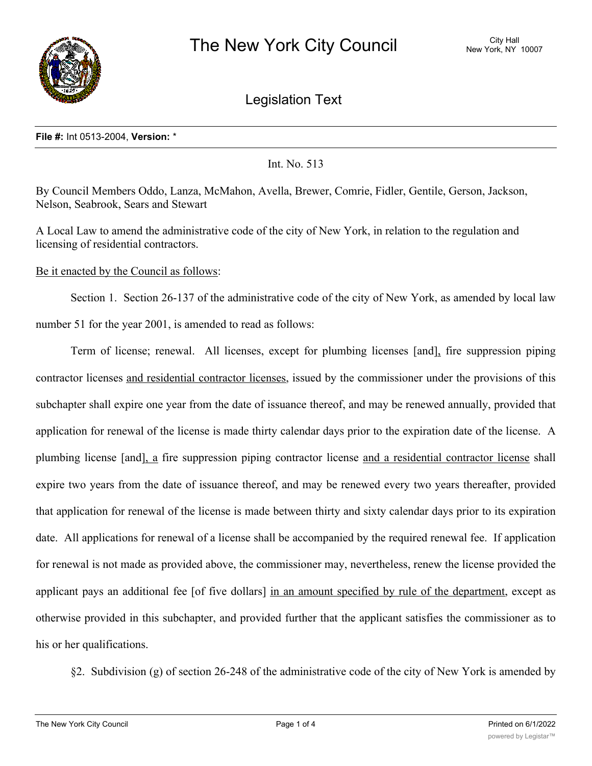

Legislation Text

### **File #:** Int 0513-2004, **Version:** \*

Int. No. 513

By Council Members Oddo, Lanza, McMahon, Avella, Brewer, Comrie, Fidler, Gentile, Gerson, Jackson, Nelson, Seabrook, Sears and Stewart

A Local Law to amend the administrative code of the city of New York, in relation to the regulation and licensing of residential contractors.

Be it enacted by the Council as follows:

Section 1. Section 26-137 of the administrative code of the city of New York, as amended by local law number 51 for the year 2001, is amended to read as follows:

Term of license; renewal. All licenses, except for plumbing licenses [and], fire suppression piping contractor licenses and residential contractor licenses, issued by the commissioner under the provisions of this subchapter shall expire one year from the date of issuance thereof, and may be renewed annually, provided that application for renewal of the license is made thirty calendar days prior to the expiration date of the license. A plumbing license [and], a fire suppression piping contractor license and a residential contractor license shall expire two years from the date of issuance thereof, and may be renewed every two years thereafter, provided that application for renewal of the license is made between thirty and sixty calendar days prior to its expiration date. All applications for renewal of a license shall be accompanied by the required renewal fee. If application for renewal is not made as provided above, the commissioner may, nevertheless, renew the license provided the applicant pays an additional fee [of five dollars] in an amount specified by rule of the department, except as otherwise provided in this subchapter, and provided further that the applicant satisfies the commissioner as to his or her qualifications.

§2. Subdivision (g) of section 26-248 of the administrative code of the city of New York is amended by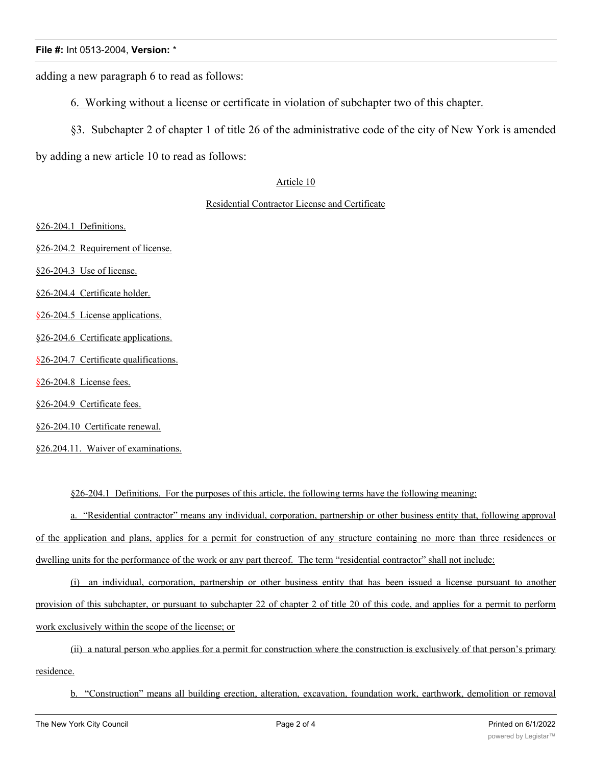## **File #:** Int 0513-2004, **Version:** \*

adding a new paragraph 6 to read as follows:

- 6. Working without a license or certificate in violation of subchapter two of this chapter.
- §3. Subchapter 2 of chapter 1 of title 26 of the administrative code of the city of New York is amended

by adding a new article 10 to read as follows:

### Article 10

#### Residential Contractor License and Certificate

§26-204.1 Definitions.

§26-204.2 Requirement of license.

§26-204.3 Use of license.

§26-204.4 Certificate holder.

§26-204.5 License applications.

§26-204.6 Certificate applications.

§26-204.7 Certificate qualifications.

§26-204.8 License fees.

§26-204.9 Certificate fees.

§26-204.10 Certificate renewal.

§26.204.11. Waiver of examinations.

§26-204.1 Definitions. For the purposes of this article, the following terms have the following meaning:

a. "Residential contractor" means any individual, corporation, partnership or other business entity that, following approval of the application and plans, applies for a permit for construction of any structure containing no more than three residences or dwelling units for the performance of the work or any part thereof. The term "residential contractor" shall not include:

(i) an individual, corporation, partnership or other business entity that has been issued a license pursuant to another provision of this subchapter, or pursuant to subchapter 22 of chapter 2 of title 20 of this code, and applies for a permit to perform work exclusively within the scope of the license; or

(ii) a natural person who applies for a permit for construction where the construction is exclusively of that person's primary residence.

b. "Construction" means all building erection, alteration, excavation, foundation work, earthwork, demolition or removal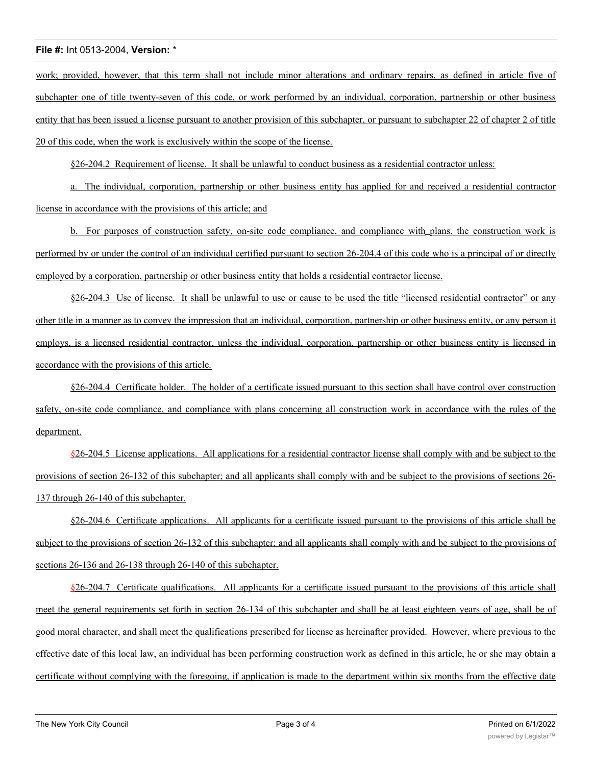## **File #:** Int 0513-2004, **Version:** \*

work; provided, however, that this term shall not include minor alterations and ordinary repairs, as defined in article five of subchapter one of title twenty-seven of this code, or work performed by an individual, corporation, partnership or other business entity that has been issued a license pursuant to another provision of this subchapter, or pursuant to subchapter 22 of chapter 2 of title 20 of this code, when the work is exclusively within the scope of the license.

§26-204.2 Requirement of license. It shall be unlawful to conduct business as a residential contractor unless:

a. The individual, corporation, partnership or other business entity has applied for and received a residential contractor license in accordance with the provisions of this article; and

b. For purposes of construction safety, on-site code compliance, and compliance with plans, the construction work is performed by or under the control of an individual certified pursuant to section 26-204.4 of this code who is a principal of or directly employed by a corporation, partnership or other business entity that holds a residential contractor license.

§26-204.3 Use of license. It shall be unlawful to use or cause to be used the title "licensed residential contractor" or any other title in a manner as to convey the impression that an individual, corporation, partnership or other business entity, or any person it employs, is a licensed residential contractor, unless the individual, corporation, partnership or other business entity is licensed in accordance with the provisions of this article.

§26-204.4 Certificate holder. The holder of a certificate issued pursuant to this section shall have control over construction safety, on-site code compliance, and compliance with plans concerning all construction work in accordance with the rules of the department.

§26-204.5 License applications. All applications for a residential contractor license shall comply with and be subject to the provisions of section 26-132 of this subchapter; and all applicants shall comply with and be subject to the provisions of sections 26- 137 through 26-140 of this subchapter.

§26-204.6 Certificate applications. All applicants for a certificate issued pursuant to the provisions of this article shall be subject to the provisions of section 26-132 of this subchapter; and all applicants shall comply with and be subject to the provisions of sections 26-136 and 26-138 through 26-140 of this subchapter.

§26-204.7 Certificate qualifications. All applicants for a certificate issued pursuant to the provisions of this article shall meet the general requirements set forth in section 26-134 of this subchapter and shall be at least eighteen years of age, shall be of good moral character, and shall meet the qualifications prescribed for license as hereinafter provided. However, where previous to the effective date of this local law, an individual has been performing construction work as defined in this article, he or she may obtain a certificate without complying with the foregoing, if application is made to the department within six months from the effective date